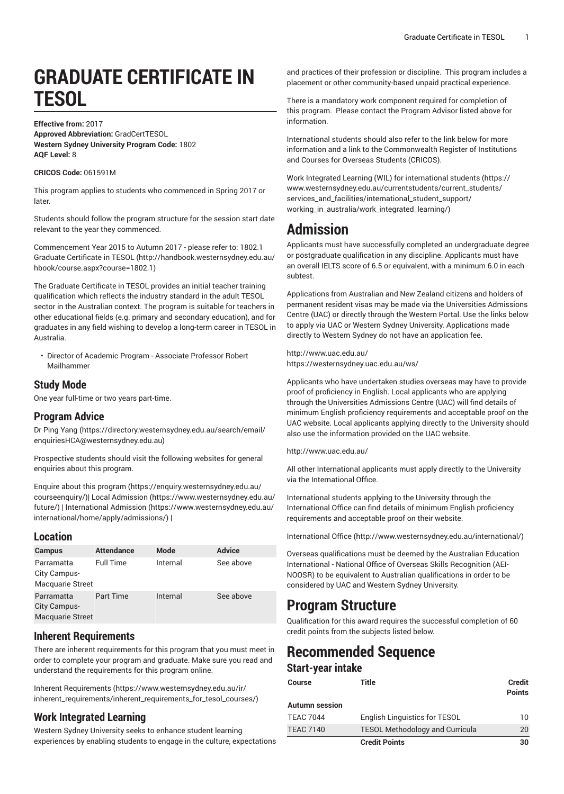# **GRADUATE CERTIFICATE IN TESOL**

#### **Effective from:** 2017

**Approved Abbreviation:** GradCertTESOL **Western Sydney University Program Code:** 1802 **AQF Level:** 8

#### **CRICOS Code:** 061591M

This program applies to students who commenced in Spring 2017 or later.

Students should follow the program structure for the session start date relevant to the year they commenced.

[Commencement](http://handbook.westernsydney.edu.au/hbook/course.aspx?course=1802.1) Year 2015 to Autumn 2017 - please refer to: 1802.1 Graduate [Certificate](http://handbook.westernsydney.edu.au/hbook/course.aspx?course=1802.1) in TESOL [\(http://handbook.westernsydney.edu.au/](http://handbook.westernsydney.edu.au/hbook/course.aspx?course=1802.1) [hbook/course.aspx?course=1802.1\)](http://handbook.westernsydney.edu.au/hbook/course.aspx?course=1802.1)

The Graduate Certificate in TESOL provides an initial teacher training qualification which reflects the industry standard in the adult TESOL sector in the Australian context. The program is suitable for teachers in other educational fields (e.g. primary and secondary education), and for graduates in any field wishing to develop a long-term career in TESOL in Australia.

• Director of Academic Program - Associate Professor Robert Mailhammer

## **Study Mode**

One year full-time or two years part-time.

## **Program Advice**

Dr Ping [Yang](https://directory.westernsydney.edu.au/search/email/enquiriesHCA@westernsydney.edu.au) ([https://directory.westernsydney.edu.au/search/email/](https://directory.westernsydney.edu.au/search/email/enquiriesHCA@westernsydney.edu.au) [enquiriesHCA@westernsydney.edu.au](https://directory.westernsydney.edu.au/search/email/enquiriesHCA@westernsydney.edu.au))

Prospective students should visit the following websites for general enquiries about this program.

Enquire about this [program \(https://enquiry.westernsydney.edu.au/](https://enquiry.westernsydney.edu.au/courseenquiry/) [courseenquiry/](https://enquiry.westernsydney.edu.au/courseenquiry/))| [Local Admission \(https://www.westernsydney.edu.au/](https://www.westernsydney.edu.au/future/) [future/\)](https://www.westernsydney.edu.au/future/) | [International Admission](https://www.westernsydney.edu.au/international/home/apply/admissions/) ([https://www.westernsydney.edu.au/](https://www.westernsydney.edu.au/international/home/apply/admissions/) [international/home/apply/admissions/](https://www.westernsydney.edu.au/international/home/apply/admissions/)) |

## **Location**

| <b>Campus</b>                                         | <b>Attendance</b> | Mode     | <b>Advice</b> |
|-------------------------------------------------------|-------------------|----------|---------------|
| Parramatta<br>City Campus-<br><b>Macquarie Street</b> | <b>Full Time</b>  | Internal | See above     |
| Parramatta<br>City Campus-<br><b>Macquarie Street</b> | Part Time         | Internal | See above     |

## **Inherent Requirements**

There are inherent requirements for this program that you must meet in order to complete your program and graduate. Make sure you read and understand the requirements for this program online.

Inherent [Requirements](https://www.westernsydney.edu.au/ir/inherent_requirements/inherent_requirements_for_tesol_courses/) ([https://www.westernsydney.edu.au/ir/](https://www.westernsydney.edu.au/ir/inherent_requirements/inherent_requirements_for_tesol_courses/) [inherent\\_requirements/inherent\\_requirements\\_for\\_tesol\\_courses/](https://www.westernsydney.edu.au/ir/inherent_requirements/inherent_requirements_for_tesol_courses/))

# **Work Integrated Learning**

Western Sydney University seeks to enhance student learning experiences by enabling students to engage in the culture, expectations and practices of their profession or discipline. This program includes a placement or other community-based unpaid practical experience.

There is a mandatory work component required for completion of this program. Please contact the Program Advisor listed above for information.

International students should also refer to the link below for more information and a link to the Commonwealth Register of Institutions and Courses for Overseas Students (CRICOS).

Work Integrated Learning (WIL) for [international](https://www.westernsydney.edu.au/currentstudents/current_students/services_and_facilities/international_student_support/working_in_australia/work_integrated_learning/) students ([https://](https://www.westernsydney.edu.au/currentstudents/current_students/services_and_facilities/international_student_support/working_in_australia/work_integrated_learning/) [www.westernsydney.edu.au/currentstudents/current\\_students/](https://www.westernsydney.edu.au/currentstudents/current_students/services_and_facilities/international_student_support/working_in_australia/work_integrated_learning/) [services\\_and\\_facilities/international\\_student\\_support/](https://www.westernsydney.edu.au/currentstudents/current_students/services_and_facilities/international_student_support/working_in_australia/work_integrated_learning/) [working\\_in\\_australia/work\\_integrated\\_learning/](https://www.westernsydney.edu.au/currentstudents/current_students/services_and_facilities/international_student_support/working_in_australia/work_integrated_learning/))

# **Admission**

Applicants must have successfully completed an undergraduate degree or postgraduate qualification in any discipline. Applicants must have an overall IELTS score of 6.5 or equivalent, with a minimum 6.0 in each subtest.

Applications from Australian and New Zealand citizens and holders of permanent resident visas may be made via the Universities Admissions Centre (UAC) or directly through the Western Portal. Use the links below to apply via UAC or Western Sydney University. Applications made directly to Western Sydney do not have an application fee.

<http://www.uac.edu.au/> <https://westernsydney.uac.edu.au/ws/>

Applicants who have undertaken studies overseas may have to provide proof of proficiency in English. Local applicants who are applying through the Universities Admissions Centre (UAC) will find details of minimum English proficiency requirements and acceptable proof on the UAC website. Local applicants applying directly to the University should also use the information provided on the UAC website.

<http://www.uac.edu.au/>

All other International applicants must apply directly to the University via the International Office.

International students applying to the University through the International Office can find details of minimum English proficiency requirements and acceptable proof on their website.

[International Office](http://www.westernsydney.edu.au/international/) ([http://www.westernsydney.edu.au/international/\)](http://www.westernsydney.edu.au/international/)

Overseas qualifications must be deemed by the Australian Education International - National Office of Overseas Skills Recognition (AEI-NOOSR) to be equivalent to Australian qualifications in order to be considered by UAC and Western Sydney University.

# **Program Structure**

Qualification for this award requires the successful completion of 60 credit points from the subjects listed below.

# **Recommended Sequence Start-year intake**

| Course           | Title                                  | <b>Credit</b><br><b>Points</b> |
|------------------|----------------------------------------|--------------------------------|
| Autumn session   |                                        |                                |
| <b>TEAC 7044</b> | <b>English Linguistics for TESOL</b>   | 10                             |
| <b>TEAC 7140</b> | <b>TESOL Methodology and Curricula</b> | 20                             |
|                  | <b>Credit Points</b>                   | 30                             |